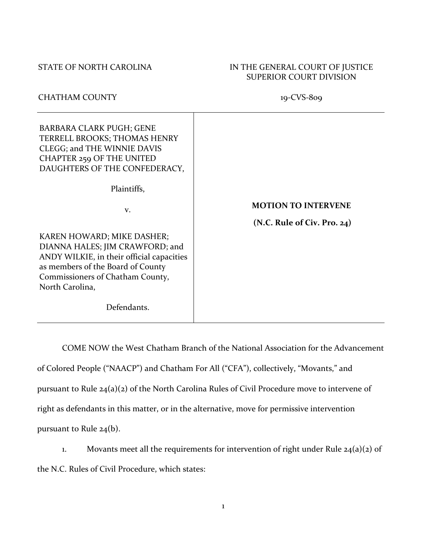# STATE OF NORTH CAROLINA IN THE GENERAL COURT OF JUSTICE SUPERIOR COURT DIVISION

# CHATHAM COUNTY 19-CVS-809

| <b>BARBARA CLARK PUGH; GENE</b><br>TERRELL BROOKS; THOMAS HENRY<br>CLEGG; and THE WINNIE DAVIS<br><b>CHAPTER 259 OF THE UNITED</b><br>DAUGHTERS OF THE CONFEDERACY,                                    |                             |
|--------------------------------------------------------------------------------------------------------------------------------------------------------------------------------------------------------|-----------------------------|
| Plaintiffs,                                                                                                                                                                                            |                             |
| V.                                                                                                                                                                                                     | <b>MOTION TO INTERVENE</b>  |
|                                                                                                                                                                                                        | (N.C. Rule of Civ. Pro. 24) |
| KAREN HOWARD; MIKE DASHER;<br>DIANNA HALES; JIM CRAWFORD; and<br>ANDY WILKIE, in their official capacities<br>as members of the Board of County<br>Commissioners of Chatham County,<br>North Carolina, |                             |
| Defendants.                                                                                                                                                                                            |                             |

COME NOW the West Chatham Branch of the National Association for the Advancement of Colored People ("NAACP") and Chatham For All ("CFA"), collectively, "Movants," and pursuant to Rule 24(a)(2) of the North Carolina Rules of Civil Procedure move to intervene of right as defendants in this matter, or in the alternative, move for permissive intervention pursuant to Rule 24(b).

1. Movants meet all the requirements for intervention of right under Rule  $24(a)(2)$  of the N.C. Rules of Civil Procedure, which states: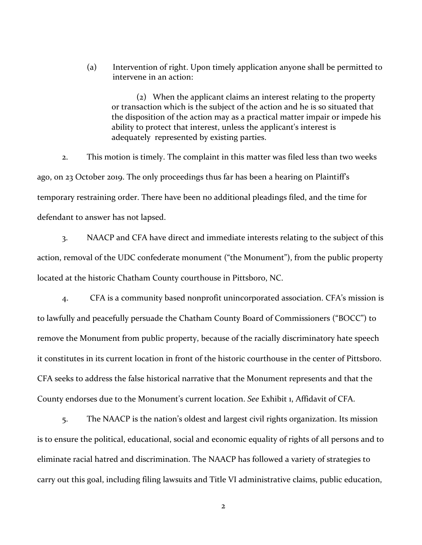(a) Intervention of right. Upon timely application anyone shall be permitted to intervene in an action:

(2) When the applicant claims an interest relating to the property or transaction which is the subject of the action and he is so situated that the disposition of the action may as a practical matter impair or impede his ability to protect that interest, unless the applicant's interest is adequately represented by existing parties.

2. This motion is timely. The complaint in this matter was filed less than two weeks ago, on 23 October 2019. The only proceedings thus far has been a hearing on Plaintiff's temporary restraining order. There have been no additional pleadings filed, and the time for defendant to answer has not lapsed.

3. NAACP and CFA have direct and immediate interests relating to the subject of this action, removal of the UDC confederate monument ("the Monument"), from the public property located at the historic Chatham County courthouse in Pittsboro, NC.

4. CFA is a community based nonprofit unincorporated association. CFA's mission is to lawfully and peacefully persuade the Chatham County Board of Commissioners ("BOCC") to remove the Monument from public property, because of the racially discriminatory hate speech it constitutes in its current location in front of the historic courthouse in the center of Pittsboro. CFA seeks to address the false historical narrative that the Monument represents and that the County endorses due to the Monument's current location. *See* Exhibit 1, Affidavit of CFA.

5. The NAACP is the nation's oldest and largest civil rights organization. Its mission is to ensure the political, educational, social and economic equality of rights of all persons and to eliminate racial hatred and discrimination. The NAACP has followed a variety of strategies to carry out this goal, including filing lawsuits and Title VI administrative claims, public education,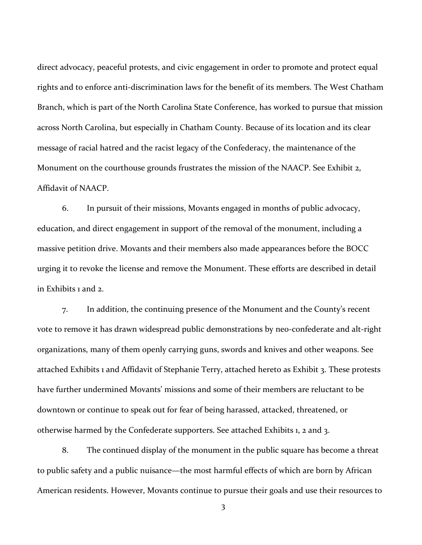direct advocacy, peaceful protests, and civic engagement in order to promote and protect equal rights and to enforce anti-discrimination laws for the benefit of its members. The West Chatham Branch, which is part of the North Carolina State Conference, has worked to pursue that mission across North Carolina, but especially in Chatham County. Because of its location and its clear message of racial hatred and the racist legacy of the Confederacy, the maintenance of the Monument on the courthouse grounds frustrates the mission of the NAACP. See Exhibit 2, Affidavit of NAACP.

6. In pursuit of their missions, Movants engaged in months of public advocacy, education, and direct engagement in support of the removal of the monument, including a massive petition drive. Movants and their members also made appearances before the BOCC urging it to revoke the license and remove the Monument. These efforts are described in detail in Exhibits 1 and 2.

7. In addition, the continuing presence of the Monument and the County's recent vote to remove it has drawn widespread public demonstrations by neo-confederate and alt-right organizations, many of them openly carrying guns, swords and knives and other weapons. See attached Exhibits 1 and Affidavit of Stephanie Terry, attached hereto as Exhibit 3. These protests have further undermined Movants' missions and some of their members are reluctant to be downtown or continue to speak out for fear of being harassed, attacked, threatened, or otherwise harmed by the Confederate supporters. See attached Exhibits 1, 2 and 3.

8. The continued display of the monument in the public square has become a threat to public safety and a public nuisance—the most harmful effects of which are born by African American residents. However, Movants continue to pursue their goals and use their resources to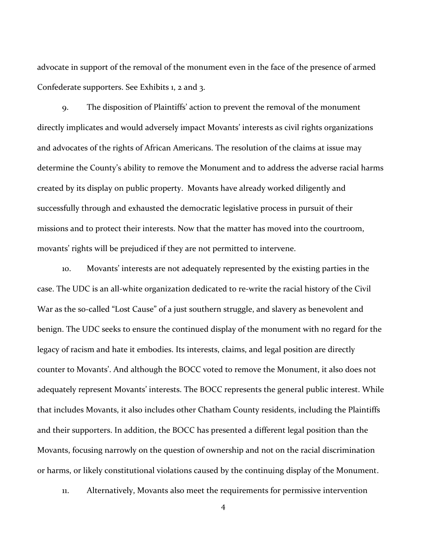advocate in support of the removal of the monument even in the face of the presence of armed Confederate supporters. See Exhibits 1, 2 and 3.

9. The disposition of Plaintiffs' action to prevent the removal of the monument directly implicates and would adversely impact Movants' interests as civil rights organizations and advocates of the rights of African Americans. The resolution of the claims at issue may determine the County's ability to remove the Monument and to address the adverse racial harms created by its display on public property. Movants have already worked diligently and successfully through and exhausted the democratic legislative process in pursuit of their missions and to protect their interests. Now that the matter has moved into the courtroom, movants' rights will be prejudiced if they are not permitted to intervene.

10. Movants' interests are not adequately represented by the existing parties in the case. The UDC is an all-white organization dedicated to re-write the racial history of the Civil War as the so-called "Lost Cause" of a just southern struggle, and slavery as benevolent and benign. The UDC seeks to ensure the continued display of the monument with no regard for the legacy of racism and hate it embodies. Its interests, claims, and legal position are directly counter to Movants'. And although the BOCC voted to remove the Monument, it also does not adequately represent Movants' interests. The BOCC represents the general public interest. While that includes Movants, it also includes other Chatham County residents, including the Plaintiffs and their supporters. In addition, the BOCC has presented a different legal position than the Movants, focusing narrowly on the question of ownership and not on the racial discrimination or harms, or likely constitutional violations caused by the continuing display of the Monument.

11. Alternatively, Movants also meet the requirements for permissive intervention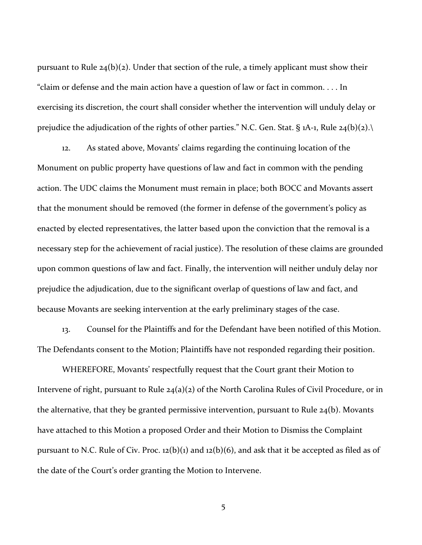pursuant to Rule  $24(b)(2)$ . Under that section of the rule, a timely applicant must show their "claim or defense and the main action have a question of law or fact in common. . . . In exercising its discretion, the court shall consider whether the intervention will unduly delay or prejudice the adjudication of the rights of other parties." N.C. Gen. Stat. § 1A-1, Rule 24(b)(2).

12. As stated above, Movants' claims regarding the continuing location of the Monument on public property have questions of law and fact in common with the pending action. The UDC claims the Monument must remain in place; both BOCC and Movants assert that the monument should be removed (the former in defense of the government's policy as enacted by elected representatives, the latter based upon the conviction that the removal is a necessary step for the achievement of racial justice). The resolution of these claims are grounded upon common questions of law and fact. Finally, the intervention will neither unduly delay nor prejudice the adjudication, due to the significant overlap of questions of law and fact, and because Movants are seeking intervention at the early preliminary stages of the case.

13. Counsel for the Plaintiffs and for the Defendant have been notified of this Motion. The Defendants consent to the Motion; Plaintiffs have not responded regarding their position.

WHEREFORE, Movants' respectfully request that the Court grant their Motion to Intervene of right, pursuant to Rule 24(a)(2) of the North Carolina Rules of Civil Procedure, or in the alternative, that they be granted permissive intervention, pursuant to Rule 24(b). Movants have attached to this Motion a proposed Order and their Motion to Dismiss the Complaint pursuant to N.C. Rule of Civ. Proc. 12(b)(1) and 12(b)(6), and ask that it be accepted as filed as of the date of the Court's order granting the Motion to Intervene.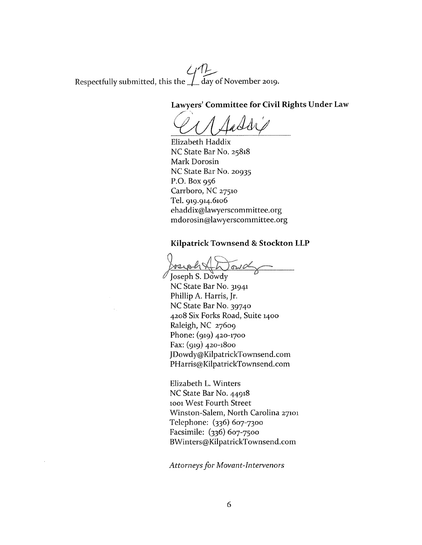Respectfully submitted, this the  $\bigcup_{d} \bigcap_{d}$  ay of November 2019.

### Lawyers' Committee for Civil Rights Under Law

Elizabeth Haddix NC State Bar No. 25818 Mark Dorosin NC State Bar No. 20935 P.O. Box  $956$ Carrboro, NC 27510 Tel. 919.914.6106 ehaddix@lawyerscommittee.org mdorosin@lawyerscommittee.org

### Kilpatrick Townsend & Stockton LLP

 $\delta v$ 

Joseph S. Dowdy NC State Bar No. 31941 Phillip A. Harris, Jr. NC State Bar No. 39740 4208 Six Forks Road, Suite 1400 Raleigh, NC 27609 Phone: (919) 420-1700 Fax:  $(qq)$  420-1800 JDowdy@KilpatrickTownsend.com PHarris@KilpatrickTownsend.com

Elizabeth L. Winters NC State Bar No. 44918 1001 West Fourth Street Winston-Salem, North Carolina 27101 Telephone: (336) 607-7300 Facsimile: (336) 607-7500 BWinters@KilpatrickTownsend.com

**Attorneys for Movant-Intervenors**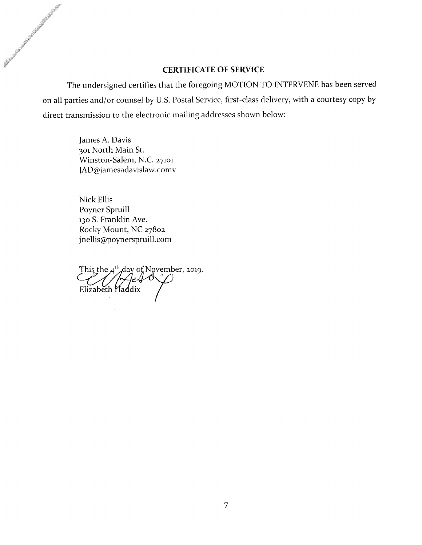### **CERTIFICATE OF SERVICE**

The undersigned certifies that the foregoing MOTION TO INTERVENE has been served on all parties and/or counsel by U.S. Postal Service, first-class delivery, with a courtesy copy by direct transmission to the electronic mailing addresses shown below:

> James A. Davis 301 North Main St. Winston-Salem, N.C. 27101 JAD@jamesadavislaw.comv

Nick Ellis Poyner Spruill 130 S. Franklin Ave. Rocky Mount, NC 27802 jnellis@poynerspruill.com

This the 4<sup>th</sup> day of November, 2019. Elizabeth Haddix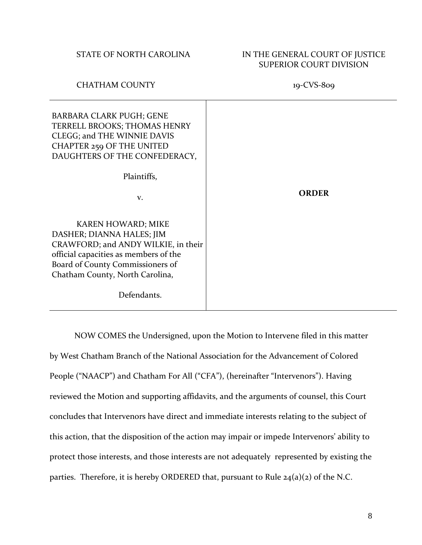# STATE OF NORTH CAROLINA IN THE GENERAL COURT OF JUSTICE SUPERIOR COURT DIVISION

# CHATHAM COUNTY 19-CVS-809

| <b>BARBARA CLARK PUGH; GENE</b><br>TERRELL BROOKS; THOMAS HENRY<br>CLEGG; and THE WINNIE DAVIS<br><b>CHAPTER 259 OF THE UNITED</b><br>DAUGHTERS OF THE CONFEDERACY,                                           |              |
|---------------------------------------------------------------------------------------------------------------------------------------------------------------------------------------------------------------|--------------|
| Plaintiffs,                                                                                                                                                                                                   |              |
| V.                                                                                                                                                                                                            | <b>ORDER</b> |
| <b>KAREN HOWARD; MIKE</b><br>DASHER; DIANNA HALES; JIM<br>CRAWFORD; and ANDY WILKIE, in their<br>official capacities as members of the<br>Board of County Commissioners of<br>Chatham County, North Carolina, |              |
| Defendants.                                                                                                                                                                                                   |              |

NOW COMES the Undersigned, upon the Motion to Intervene filed in this matter by West Chatham Branch of the National Association for the Advancement of Colored People ("NAACP") and Chatham For All ("CFA"), (hereinafter "Intervenors"). Having reviewed the Motion and supporting affidavits, and the arguments of counsel, this Court concludes that Intervenors have direct and immediate interests relating to the subject of this action, that the disposition of the action may impair or impede Intervenors' ability to protect those interests, and those interests are not adequately represented by existing the parties. Therefore, it is hereby ORDERED that, pursuant to Rule  $24(a)(2)$  of the N.C.